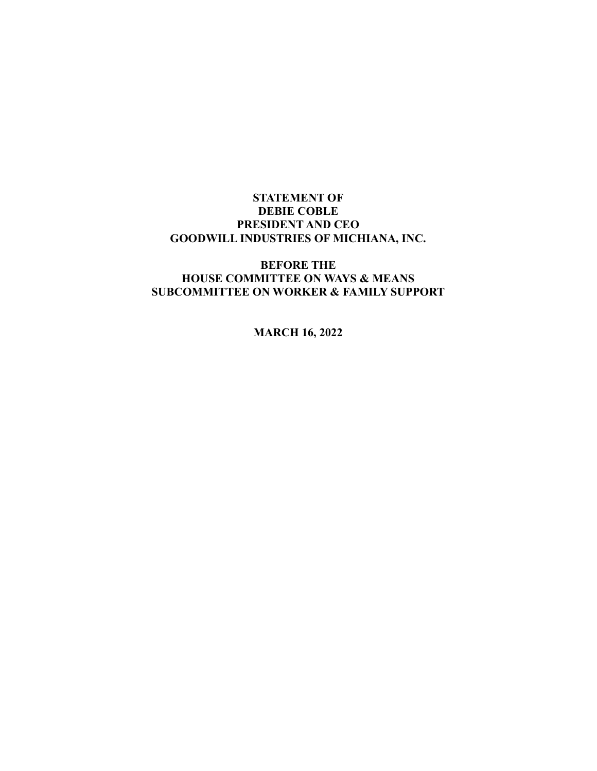# STATEMENT OF DEBIE COBLE PRESIDENT AND CEO GOODWILL INDUSTRIES OF MICHIANA, INC.

# BEFORE THE HOUSE COMMITTEE ON WAYS & MEANS SUBCOMMITTEE ON WORKER & FAMILY SUPPORT

MARCH 16, 2022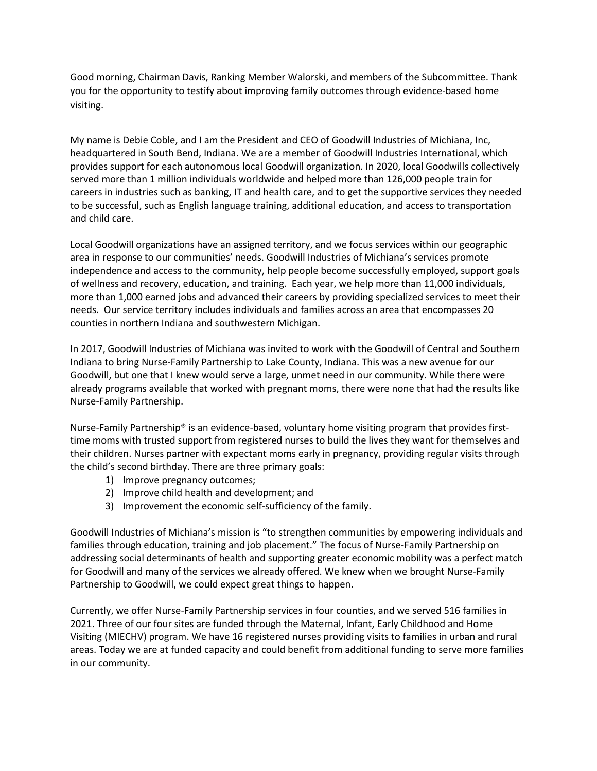Good morning, Chairman Davis, Ranking Member Walorski, and members of the Subcommittee. Thank you for the opportunity to testify about improving family outcomes through evidence-based home visiting.

My name is Debie Coble, and I am the President and CEO of Goodwill Industries of Michiana, Inc, headquartered in South Bend, Indiana. We are a member of Goodwill Industries International, which provides support for each autonomous local Goodwill organization. In 2020, local Goodwills collectively served more than 1 million individuals worldwide and helped more than 126,000 people train for careers in industries such as banking, IT and health care, and to get the supportive services they needed to be successful, such as English language training, additional education, and access to transportation and child care.

Local Goodwill organizations have an assigned territory, and we focus services within our geographic area in response to our communities' needs. Goodwill Industries of Michiana's services promote independence and access to the community, help people become successfully employed, support goals of wellness and recovery, education, and training. Each year, we help more than 11,000 individuals, more than 1,000 earned jobs and advanced their careers by providing specialized services to meet their needs. Our service territory includes individuals and families across an area that encompasses 20 counties in northern Indiana and southwestern Michigan.

In 2017, Goodwill Industries of Michiana was invited to work with the Goodwill of Central and Southern Indiana to bring Nurse-Family Partnership to Lake County, Indiana. This was a new avenue for our Goodwill, but one that I knew would serve a large, unmet need in our community. While there were already programs available that worked with pregnant moms, there were none that had the results like Nurse-Family Partnership.

Nurse-Family Partnership® is an evidence-based, voluntary home visiting program that provides firsttime moms with trusted support from registered nurses to build the lives they want for themselves and their children. Nurses partner with expectant moms early in pregnancy, providing regular visits through the child's second birthday. There are three primary goals:

- 1) Improve pregnancy outcomes;
- 2) Improve child health and development; and
- 3) Improvement the economic self-sufficiency of the family.

Goodwill Industries of Michiana's mission is "to strengthen communities by empowering individuals and families through education, training and job placement." The focus of Nurse-Family Partnership on addressing social determinants of health and supporting greater economic mobility was a perfect match for Goodwill and many of the services we already offered. We knew when we brought Nurse-Family Partnership to Goodwill, we could expect great things to happen.

Currently, we offer Nurse-Family Partnership services in four counties, and we served 516 families in 2021. Three of our four sites are funded through the Maternal, Infant, Early Childhood and Home Visiting (MIECHV) program. We have 16 registered nurses providing visits to families in urban and rural areas. Today we are at funded capacity and could benefit from additional funding to serve more families in our community.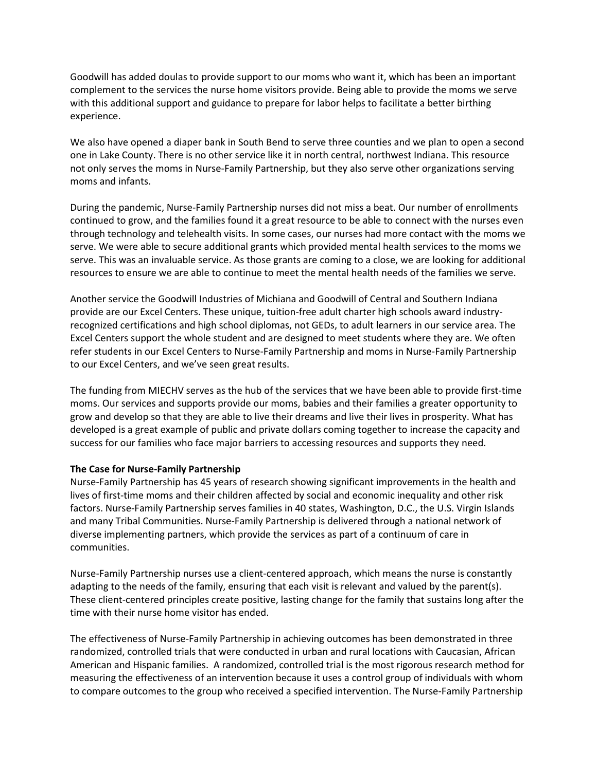Goodwill has added doulas to provide support to our moms who want it, which has been an important complement to the services the nurse home visitors provide. Being able to provide the moms we serve with this additional support and guidance to prepare for labor helps to facilitate a better birthing experience.

We also have opened a diaper bank in South Bend to serve three counties and we plan to open a second one in Lake County. There is no other service like it in north central, northwest Indiana. This resource not only serves the moms in Nurse-Family Partnership, but they also serve other organizations serving moms and infants.

During the pandemic, Nurse-Family Partnership nurses did not miss a beat. Our number of enrollments continued to grow, and the families found it a great resource to be able to connect with the nurses even through technology and telehealth visits. In some cases, our nurses had more contact with the moms we serve. We were able to secure additional grants which provided mental health services to the moms we serve. This was an invaluable service. As those grants are coming to a close, we are looking for additional resources to ensure we are able to continue to meet the mental health needs of the families we serve.

Another service the Goodwill Industries of Michiana and Goodwill of Central and Southern Indiana provide are our Excel Centers. These unique, tuition-free adult charter high schools award industryrecognized certifications and high school diplomas, not GEDs, to adult learners in our service area. The Excel Centers support the whole student and are designed to meet students where they are. We often refer students in our Excel Centers to Nurse-Family Partnership and moms in Nurse-Family Partnership to our Excel Centers, and we've seen great results.

The funding from MIECHV serves as the hub of the services that we have been able to provide first-time moms. Our services and supports provide our moms, babies and their families a greater opportunity to grow and develop so that they are able to live their dreams and live their lives in prosperity. What has developed is a great example of public and private dollars coming together to increase the capacity and success for our families who face major barriers to accessing resources and supports they need.

### The Case for Nurse-Family Partnership

Nurse-Family Partnership has 45 years of research showing significant improvements in the health and lives of first-time moms and their children affected by social and economic inequality and other risk factors. Nurse-Family Partnership serves families in 40 states, Washington, D.C., the U.S. Virgin Islands and many Tribal Communities. Nurse-Family Partnership is delivered through a national network of diverse implementing partners, which provide the services as part of a continuum of care in communities.

Nurse-Family Partnership nurses use a client-centered approach, which means the nurse is constantly adapting to the needs of the family, ensuring that each visit is relevant and valued by the parent(s). These client-centered principles create positive, lasting change for the family that sustains long after the time with their nurse home visitor has ended.

The effectiveness of Nurse-Family Partnership in achieving outcomes has been demonstrated in three randomized, controlled trials that were conducted in urban and rural locations with Caucasian, African American and Hispanic families. A randomized, controlled trial is the most rigorous research method for measuring the effectiveness of an intervention because it uses a control group of individuals with whom to compare outcomes to the group who received a specified intervention. The Nurse-Family Partnership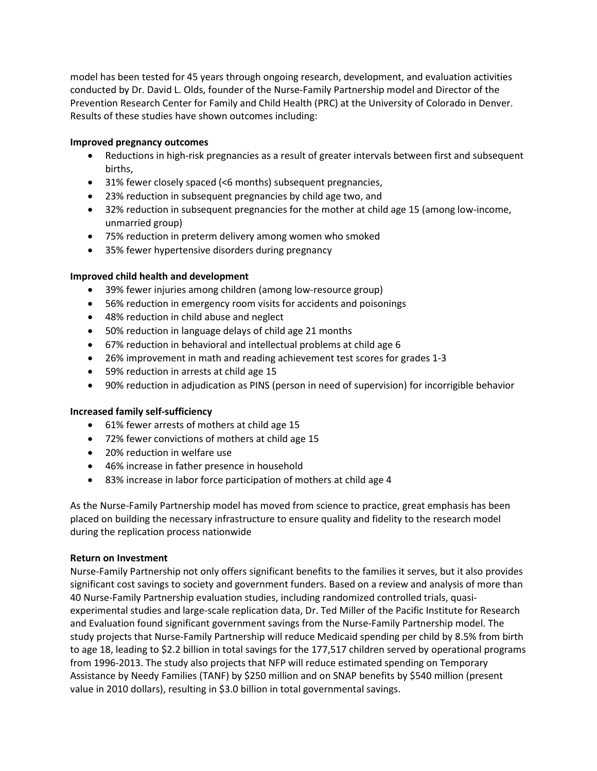model has been tested for 45 years through ongoing research, development, and evaluation activities conducted by Dr. David L. Olds, founder of the Nurse-Family Partnership model and Director of the Prevention Research Center for Family and Child Health (PRC) at the University of Colorado in Denver. Results of these studies have shown outcomes including:

## Improved pregnancy outcomes

- Reductions in high-risk pregnancies as a result of greater intervals between first and subsequent births,
- 31% fewer closely spaced (<6 months) subsequent pregnancies,
- 23% reduction in subsequent pregnancies by child age two, and
- 32% reduction in subsequent pregnancies for the mother at child age 15 (among low-income, unmarried group)
- 75% reduction in preterm delivery among women who smoked
- 35% fewer hypertensive disorders during pregnancy

### Improved child health and development

- 39% fewer injuries among children (among low-resource group)
- 56% reduction in emergency room visits for accidents and poisonings
- 48% reduction in child abuse and neglect
- 50% reduction in language delays of child age 21 months
- 67% reduction in behavioral and intellectual problems at child age 6
- 26% improvement in math and reading achievement test scores for grades 1-3
- 59% reduction in arrests at child age 15
- 90% reduction in adjudication as PINS (person in need of supervision) for incorrigible behavior

### Increased family self-sufficiency

- 61% fewer arrests of mothers at child age 15
- 72% fewer convictions of mothers at child age 15
- 20% reduction in welfare use
- 46% increase in father presence in household
- 83% increase in labor force participation of mothers at child age 4

As the Nurse-Family Partnership model has moved from science to practice, great emphasis has been placed on building the necessary infrastructure to ensure quality and fidelity to the research model during the replication process nationwide

### Return on Investment

Nurse-Family Partnership not only offers significant benefits to the families it serves, but it also provides significant cost savings to society and government funders. Based on a review and analysis of more than 40 Nurse-Family Partnership evaluation studies, including randomized controlled trials, quasiexperimental studies and large-scale replication data, Dr. Ted Miller of the Pacific Institute for Research and Evaluation found significant government savings from the Nurse-Family Partnership model. The study projects that Nurse-Family Partnership will reduce Medicaid spending per child by 8.5% from birth to age 18, leading to \$2.2 billion in total savings for the 177,517 children served by operational programs from 1996-2013. The study also projects that NFP will reduce estimated spending on Temporary Assistance by Needy Families (TANF) by \$250 million and on SNAP benefits by \$540 million (present value in 2010 dollars), resulting in \$3.0 billion in total governmental savings.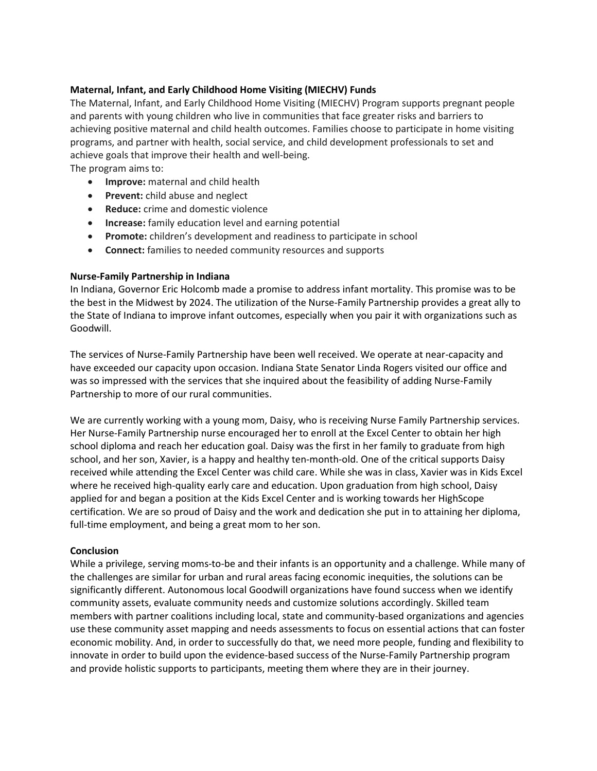### Maternal, Infant, and Early Childhood Home Visiting (MIECHV) Funds

The Maternal, Infant, and Early Childhood Home Visiting (MIECHV) Program supports pregnant people and parents with young children who live in communities that face greater risks and barriers to achieving positive maternal and child health outcomes. Families choose to participate in home visiting programs, and partner with health, social service, and child development professionals to set and achieve goals that improve their health and well-being.

The program aims to:

- **Improve:** maternal and child health
- Prevent: child abuse and neglect
- Reduce: crime and domestic violence
- Increase: family education level and earning potential
- Promote: children's development and readiness to participate in school
- Connect: families to needed community resources and supports

### Nurse-Family Partnership in Indiana

In Indiana, Governor Eric Holcomb made a promise to address infant mortality. This promise was to be the best in the Midwest by 2024. The utilization of the Nurse-Family Partnership provides a great ally to the State of Indiana to improve infant outcomes, especially when you pair it with organizations such as Goodwill.

The services of Nurse-Family Partnership have been well received. We operate at near-capacity and have exceeded our capacity upon occasion. Indiana State Senator Linda Rogers visited our office and was so impressed with the services that she inquired about the feasibility of adding Nurse-Family Partnership to more of our rural communities.

We are currently working with a young mom, Daisy, who is receiving Nurse Family Partnership services. Her Nurse-Family Partnership nurse encouraged her to enroll at the Excel Center to obtain her high school diploma and reach her education goal. Daisy was the first in her family to graduate from high school, and her son, Xavier, is a happy and healthy ten-month-old. One of the critical supports Daisy received while attending the Excel Center was child care. While she was in class, Xavier was in Kids Excel where he received high-quality early care and education. Upon graduation from high school, Daisy applied for and began a position at the Kids Excel Center and is working towards her HighScope certification. We are so proud of Daisy and the work and dedication she put in to attaining her diploma, full-time employment, and being a great mom to her son.

#### Conclusion

While a privilege, serving moms-to-be and their infants is an opportunity and a challenge. While many of the challenges are similar for urban and rural areas facing economic inequities, the solutions can be significantly different. Autonomous local Goodwill organizations have found success when we identify community assets, evaluate community needs and customize solutions accordingly. Skilled team members with partner coalitions including local, state and community-based organizations and agencies use these community asset mapping and needs assessments to focus on essential actions that can foster economic mobility. And, in order to successfully do that, we need more people, funding and flexibility to innovate in order to build upon the evidence-based success of the Nurse-Family Partnership program and provide holistic supports to participants, meeting them where they are in their journey.